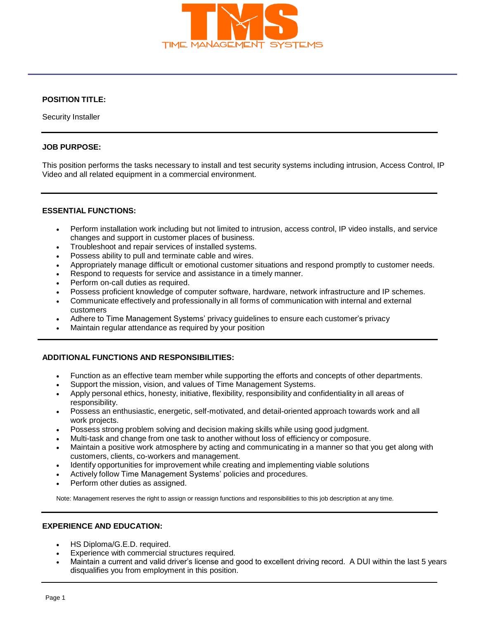

# **POSITION TITLE:**

Security Installer

### **JOB PURPOSE:**

This position performs the tasks necessary to install and test security systems including intrusion, Access Control, IP Video and all related equipment in a commercial environment.

### **ESSENTIAL FUNCTIONS:**

- Perform installation work including but not limited to intrusion, access control, IP video installs, and service changes and support in customer places of business.
- Troubleshoot and repair services of installed systems.
- Possess ability to pull and terminate cable and wires.
- Appropriately manage difficult or emotional customer situations and respond promptly to customer needs.
- Respond to requests for service and assistance in a timely manner.
- Perform on-call duties as required.
- Possess proficient knowledge of computer software, hardware, network infrastructure and IP schemes.
- Communicate effectively and professionally in all forms of communication with internal and external customers
- Adhere to Time Management Systems' privacy guidelines to ensure each customer's privacy
- Maintain regular attendance as required by your position

### **ADDITIONAL FUNCTIONS AND RESPONSIBILITIES:**

- Function as an effective team member while supporting the efforts and concepts of other departments.
- Support the mission, vision, and values of Time Management Systems.
- Apply personal ethics, honesty, initiative, flexibility, responsibility and confidentiality in all areas of responsibility.
- Possess an enthusiastic, energetic, self-motivated, and detail-oriented approach towards work and all work projects.
- Possess strong problem solving and decision making skills while using good judgment.
- Multi-task and change from one task to another without loss of efficiency or composure.
- Maintain a positive work atmosphere by acting and communicating in a manner so that you get along with customers, clients, co-workers and management.
- Identify opportunities for improvement while creating and implementing viable solutions
- Actively follow Time Management Systems' policies and procedures.
- Perform other duties as assigned.

Note: Management reserves the right to assign or reassign functions and responsibilities to this job description at any time.

## **EXPERIENCE AND EDUCATION:**

- HS Diploma/G.E.D. required.
- Experience with commercial structures required.
- Maintain a current and valid driver's license and good to excellent driving record. A DUI within the last 5 years disqualifies you from employment in this position.